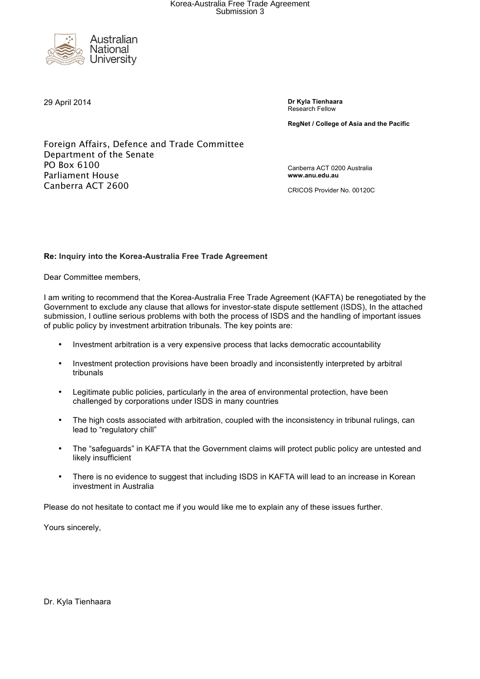

29 April 2014 **Dr Kyla Tienhaara** Research Fellow

**RegNet / College of Asia and the Pacific**

Foreign Affairs, Defence and Trade Committee Department of the Senate PO Box 6100 Parliament House Canberra ACT 2600

Canberra ACT 0200 Australia **www.anu.edu.au** 

CRICOS Provider No. 00120C

#### **Re: Inquiry into the Korea-Australia Free Trade Agreement**

Dear Committee members,

I am writing to recommend that the Korea-Australia Free Trade Agreement (KAFTA) be renegotiated by the Government to exclude any clause that allows for investor-state dispute settlement (ISDS), In the attached submission, I outline serious problems with both the process of ISDS and the handling of important issues of public policy by investment arbitration tribunals. The key points are:

- Investment arbitration is a very expensive process that lacks democratic accountability
- Investment protection provisions have been broadly and inconsistently interpreted by arbitral tribunals
- Legitimate public policies, particularly in the area of environmental protection, have been challenged by corporations under ISDS in many countries
- The high costs associated with arbitration, coupled with the inconsistency in tribunal rulings, can lead to "regulatory chill"
- The "safeguards" in KAFTA that the Government claims will protect public policy are untested and likely insufficient
- There is no evidence to suggest that including ISDS in KAFTA will lead to an increase in Korean investment in Australia

Please do not hesitate to contact me if you would like me to explain any of these issues further.

Yours sincerely,

Dr. Kyla Tienhaara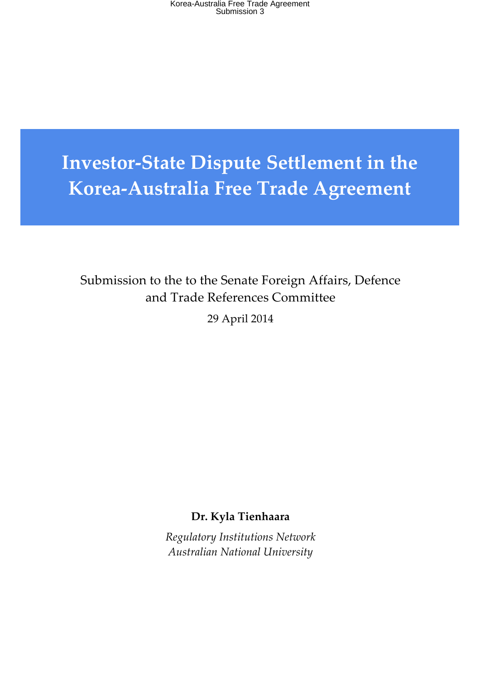Korea-Australia Free Trade Agreement Submission 3

# **Investor-State Dispute Settlement in the Korea-Australia Free Trade Agreement**

Submission to the to the Senate Foreign Affairs, Defence and Trade References Committee

29 April 2014

**Dr. Kyla Tienhaara**

*Regulatory Institutions Network Australian National University*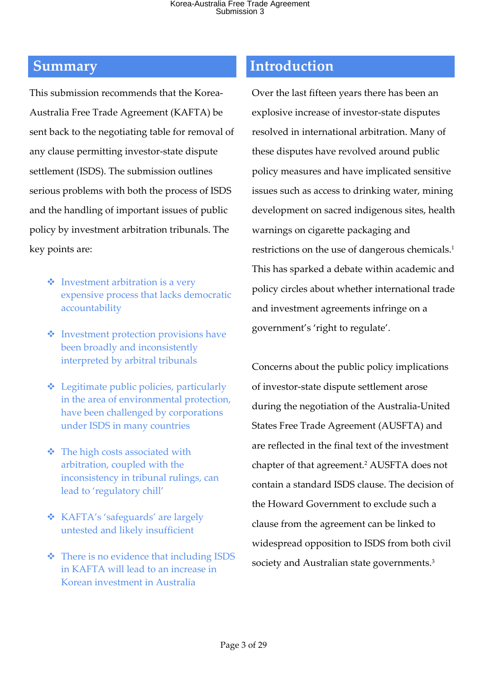This submission recommends that the Korea-Australia Free Trade Agreement (KAFTA) be sent back to the negotiating table for removal of any clause permitting investor-state dispute settlement (ISDS). The submission outlines serious problems with both the process of ISDS and the handling of important issues of public policy by investment arbitration tribunals. The key points are:

- $\triangleleft$  Investment arbitration is a very expensive process that lacks democratic accountability
- $\triangleleft$  Investment protection provisions have been broadly and inconsistently interpreted by arbitral tribunals
- $\triangleleft$  Legitimate public policies, particularly in the area of environmental protection, have been challenged by corporations under ISDS in many countries
- $\triangleleft$  The high costs associated with arbitration, coupled with the inconsistency in tribunal rulings, can lead to 'regulatory chill'
- v KAFTA's 'safeguards' are largely untested and likely insufficient
- $\triangleleft$  There is no evidence that including ISDS in KAFTA will lead to an increase in Korean investment in Australia

### **Summary Introduction**

Over the last fifteen years there has been an explosive increase of investor-state disputes resolved in international arbitration. Many of these disputes have revolved around public policy measures and have implicated sensitive issues such as access to drinking water, mining development on sacred indigenous sites, health warnings on cigarette packaging and restrictions on the use of dangerous chemicals.1 This has sparked a debate within academic and policy circles about whether international trade and investment agreements infringe on a government's 'right to regulate'.

Concerns about the public policy implications of investor-state dispute settlement arose during the negotiation of the Australia-United States Free Trade Agreement (AUSFTA) and are reflected in the final text of the investment chapter of that agreement.2 AUSFTA does not contain a standard ISDS clause. The decision of the Howard Government to exclude such a clause from the agreement can be linked to widespread opposition to ISDS from both civil society and Australian state governments.<sup>3</sup>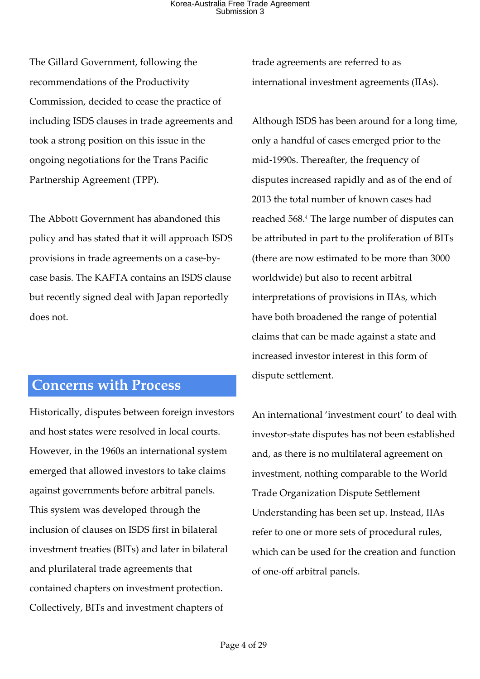### Korea-Australia Free Trade Agreement Submission 3

The Gillard Government, following the recommendations of the Productivity Commission, decided to cease the practice of including ISDS clauses in trade agreements and took a strong position on this issue in the ongoing negotiations for the Trans Pacific Partnership Agreement (TPP).

The Abbott Government has abandoned this policy and has stated that it will approach ISDS provisions in trade agreements on a case-bycase basis. The KAFTA contains an ISDS clause but recently signed deal with Japan reportedly does not.

### **Concerns with Process**

Historically, disputes between foreign investors and host states were resolved in local courts. However, in the 1960s an international system emerged that allowed investors to take claims against governments before arbitral panels. This system was developed through the inclusion of clauses on ISDS first in bilateral investment treaties (BITs) and later in bilateral and plurilateral trade agreements that contained chapters on investment protection. Collectively, BITs and investment chapters of

trade agreements are referred to as international investment agreements (IIAs).

Although ISDS has been around for a long time, only a handful of cases emerged prior to the mid-1990s. Thereafter, the frequency of disputes increased rapidly and as of the end of 2013 the total number of known cases had reached 568.4 The large number of disputes can be attributed in part to the proliferation of BITs (there are now estimated to be more than 3000 worldwide) but also to recent arbitral interpretations of provisions in IIAs, which have both broadened the range of potential claims that can be made against a state and increased investor interest in this form of dispute settlement.

An international 'investment court' to deal with investor-state disputes has not been established and, as there is no multilateral agreement on investment, nothing comparable to the World Trade Organization Dispute Settlement Understanding has been set up. Instead, IIAs refer to one or more sets of procedural rules, which can be used for the creation and function of one-off arbitral panels.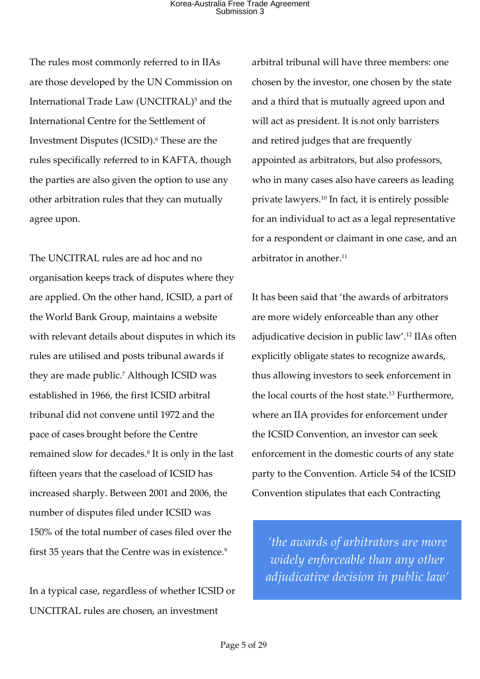The rules most commonly referred to in IIAs are those developed by the UN Commission on International Trade Law (UNCITRAL)<sup>5</sup> and the International Centre for the Settlement of Investment Disputes (ICSID).<sup>6</sup> These are the rules specifically referred to in KAFTA, though the parties are also given the option to use any other arbitration rules that they can mutually agree upon.

The UNCITRAL rules are ad hoc and no organisation keeps track of disputes where they are applied. On the other hand, ICSID, a part of the World Bank Group, maintains a website with relevant details about disputes in which its rules are utilised and posts tribunal awards if they are made public.<sup>7</sup> Although ICSID was established in 1966, the first ICSID arbitral tribunal did not convene until 1972 and the pace of cases brought before the Centre remained slow for decades.8 It is only in the last fifteen years that the caseload of ICSID has increased sharply. Between 2001 and 2006, the number of disputes filed under ICSID was 150% of the total number of cases filed over the first 35 years that the Centre was in existence.<sup>9</sup>

In a typical case, regardless of whether ICSID or UNCITRAL rules are chosen, an investment

arbitral tribunal will have three members: one chosen by the investor, one chosen by the state and a third that is mutually agreed upon and will act as president. It is not only barristers and retired judges that are frequently appointed as arbitrators, but also professors, who in many cases also have careers as leading private lawyers.10 In fact, it is entirely possible for an individual to act as a legal representative for a respondent or claimant in one case, and an arbitrator in another.<sup>11</sup>

It has been said that 'the awards of arbitrators are more widely enforceable than any other adjudicative decision in public law'.12 IIAs often explicitly obligate states to recognize awards, thus allowing investors to seek enforcement in the local courts of the host state.13 Furthermore, where an IIA provides for enforcement under the ICSID Convention, an investor can seek enforcement in the domestic courts of any state party to the Convention. Article 54 of the ICSID Convention stipulates that each Contracting

*'the awards of arbitrators are more widely enforceable than any other adjudicative decision in public law'*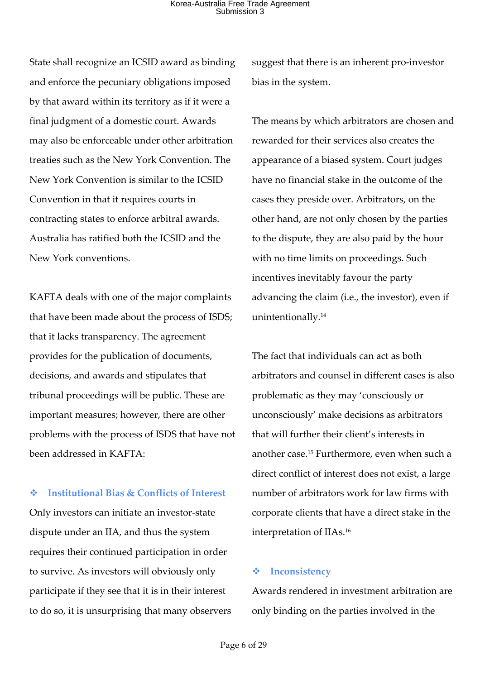State shall recognize an ICSID award as binding and enforce the pecuniary obligations imposed by that award within its territory as if it were a final judgment of a domestic court. Awards may also be enforceable under other arbitration treaties such as the New York Convention. The New York Convention is similar to the ICSID Convention in that it requires courts in contracting states to enforce arbitral awards. Australia has ratified both the ICSID and the New York conventions.

KAFTA deals with one of the major complaints that have been made about the process of ISDS; that it lacks transparency. The agreement provides for the publication of documents, decisions, and awards and stipulates that tribunal proceedings will be public. These are important measures; however, there are other problems with the process of ISDS that have not been addressed in KAFTA:

v **Institutional Bias & Conflicts of Interest** Only investors can initiate an investor-state dispute under an IIA, and thus the system requires their continued participation in order to survive. As investors will obviously only participate if they see that it is in their interest to do so, it is unsurprising that many observers suggest that there is an inherent pro-investor bias in the system.

The means by which arbitrators are chosen and rewarded for their services also creates the appearance of a biased system. Court judges have no financial stake in the outcome of the cases they preside over. Arbitrators, on the other hand, are not only chosen by the parties to the dispute, they are also paid by the hour with no time limits on proceedings. Such incentives inevitably favour the party advancing the claim (i.e., the investor), even if unintentionally.<sup>14</sup>

The fact that individuals can act as both arbitrators and counsel in different cases is also problematic as they may 'consciously or unconsciously' make decisions as arbitrators that will further their client's interests in another case.15 Furthermore, even when such a direct conflict of interest does not exist, a large number of arbitrators work for law firms with corporate clients that have a direct stake in the interpretation of IIAs.16

#### v **Inconsistency**

Awards rendered in investment arbitration are only binding on the parties involved in the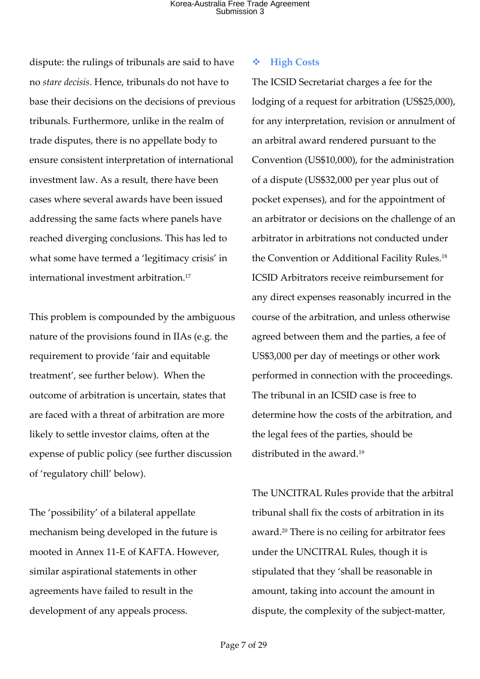dispute: the rulings of tribunals are said to have no *stare decisis*. Hence, tribunals do not have to base their decisions on the decisions of previous tribunals. Furthermore, unlike in the realm of trade disputes, there is no appellate body to ensure consistent interpretation of international investment law. As a result, there have been cases where several awards have been issued addressing the same facts where panels have reached diverging conclusions. This has led to what some have termed a 'legitimacy crisis' in international investment arbitration.17

This problem is compounded by the ambiguous nature of the provisions found in IIAs (e.g. the requirement to provide 'fair and equitable treatment', see further below). When the outcome of arbitration is uncertain, states that are faced with a threat of arbitration are more likely to settle investor claims, often at the expense of public policy (see further discussion of 'regulatory chill' below).

The 'possibility' of a bilateral appellate mechanism being developed in the future is mooted in Annex 11-E of KAFTA. However, similar aspirational statements in other agreements have failed to result in the development of any appeals process.

#### v **High Costs**

The ICSID Secretariat charges a fee for the lodging of a request for arbitration (US\$25,000), for any interpretation, revision or annulment of an arbitral award rendered pursuant to the Convention (US\$10,000), for the administration of a dispute (US\$32,000 per year plus out of pocket expenses), and for the appointment of an arbitrator or decisions on the challenge of an arbitrator in arbitrations not conducted under the Convention or Additional Facility Rules.18 ICSID Arbitrators receive reimbursement for any direct expenses reasonably incurred in the course of the arbitration, and unless otherwise agreed between them and the parties, a fee of US\$3,000 per day of meetings or other work performed in connection with the proceedings. The tribunal in an ICSID case is free to determine how the costs of the arbitration, and the legal fees of the parties, should be distributed in the award.<sup>19</sup>

The UNCITRAL Rules provide that the arbitral tribunal shall fix the costs of arbitration in its award.20 There is no ceiling for arbitrator fees under the UNCITRAL Rules, though it is stipulated that they 'shall be reasonable in amount, taking into account the amount in dispute, the complexity of the subject-matter,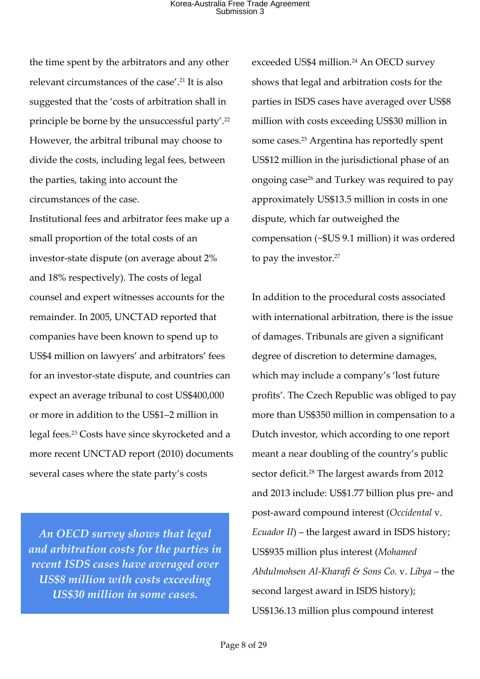the time spent by the arbitrators and any other relevant circumstances of the case'.21 It is also suggested that the 'costs of arbitration shall in principle be borne by the unsuccessful party'.22 However, the arbitral tribunal may choose to divide the costs, including legal fees, between the parties, taking into account the circumstances of the case.

Institutional fees and arbitrator fees make up a small proportion of the total costs of an investor-state dispute (on average about 2% and 18% respectively). The costs of legal counsel and expert witnesses accounts for the remainder. In 2005, UNCTAD reported that companies have been known to spend up to US\$4 million on lawyers' and arbitrators' fees for an investor-state dispute, and countries can expect an average tribunal to cost US\$400,000 or more in addition to the US\$1–2 million in legal fees.23 Costs have since skyrocketed and a more recent UNCTAD report (2010) documents several cases where the state party's costs

*An OECD survey shows that legal and arbitration costs for the parties in recent ISDS cases have averaged over US\$8 million with costs exceeding US\$30 million in some cases.*

exceeded US\$4 million. <sup>24</sup> An OECD survey shows that legal and arbitration costs for the parties in ISDS cases have averaged over US\$8 million with costs exceeding US\$30 million in some cases.25 Argentina has reportedly spent US\$12 million in the jurisdictional phase of an ongoing case26 and Turkey was required to pay approximately US\$13.5 million in costs in one dispute, which far outweighed the compensation (~\$US 9.1 million) it was ordered to pay the investor.<sup>27</sup>

In addition to the procedural costs associated with international arbitration, there is the issue of damages. Tribunals are given a significant degree of discretion to determine damages, which may include a company's 'lost future profits'. The Czech Republic was obliged to pay more than US\$350 million in compensation to a Dutch investor, which according to one report meant a near doubling of the country's public sector deficit.28 The largest awards from 2012 and 2013 include: US\$1.77 billion plus pre- and post-award compound interest (*Occidental* v. *Ecuador II*) – the largest award in ISDS history; US\$935 million plus interest (*Mohamed Abdulmohsen Al-Kharafi & Sons Co.* v. *Libya* – the second largest award in ISDS history); US\$136.13 million plus compound interest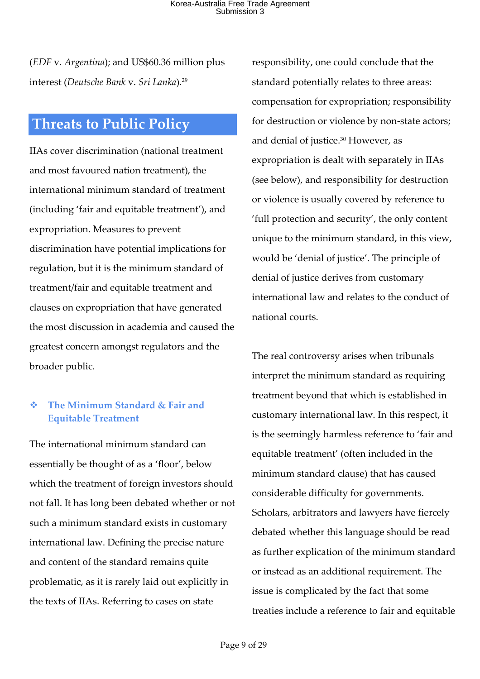(*EDF* v. *Argentina*); and US\$60.36 million plus interest (*Deutsche Bank* v. *Sri Lanka*). 29

### **Threats to Public Policy**

IIAs cover discrimination (national treatment and most favoured nation treatment), the international minimum standard of treatment (including 'fair and equitable treatment'), and expropriation. Measures to prevent discrimination have potential implications for regulation, but it is the minimum standard of treatment/fair and equitable treatment and clauses on expropriation that have generated the most discussion in academia and caused the greatest concern amongst regulators and the broader public.

#### v **The Minimum Standard & Fair and Equitable Treatment**

The international minimum standard can essentially be thought of as a 'floor', below which the treatment of foreign investors should not fall. It has long been debated whether or not such a minimum standard exists in customary international law. Defining the precise nature and content of the standard remains quite problematic, as it is rarely laid out explicitly in the texts of IIAs. Referring to cases on state

responsibility, one could conclude that the standard potentially relates to three areas: compensation for expropriation; responsibility for destruction or violence by non-state actors; and denial of justice.<sup>30</sup> However, as expropriation is dealt with separately in IIAs (see below), and responsibility for destruction or violence is usually covered by reference to 'full protection and security', the only content unique to the minimum standard, in this view, would be 'denial of justice'. The principle of denial of justice derives from customary international law and relates to the conduct of national courts.

The real controversy arises when tribunals interpret the minimum standard as requiring treatment beyond that which is established in customary international law. In this respect, it is the seemingly harmless reference to 'fair and equitable treatment' (often included in the minimum standard clause) that has caused considerable difficulty for governments. Scholars, arbitrators and lawyers have fiercely debated whether this language should be read as further explication of the minimum standard or instead as an additional requirement. The issue is complicated by the fact that some treaties include a reference to fair and equitable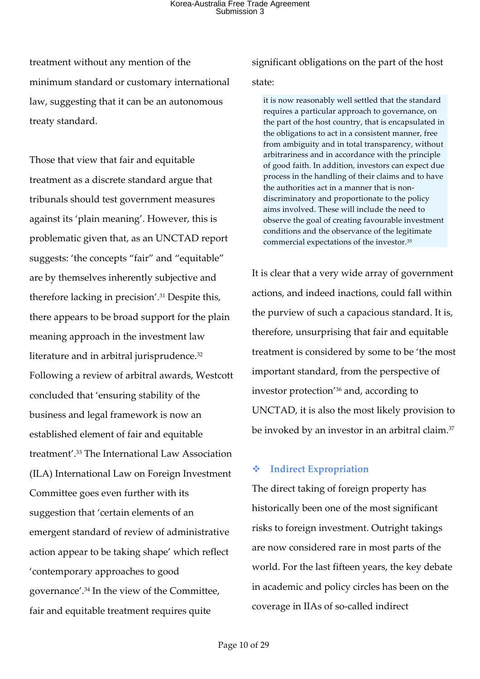treatment without any mention of the minimum standard or customary international law, suggesting that it can be an autonomous treaty standard.

Those that view that fair and equitable treatment as a discrete standard argue that tribunals should test government measures against its 'plain meaning'. However, this is problematic given that, as an UNCTAD report suggests: 'the concepts "fair" and "equitable" are by themselves inherently subjective and therefore lacking in precision'.31 Despite this, there appears to be broad support for the plain meaning approach in the investment law literature and in arbitral jurisprudence.32 Following a review of arbitral awards, Westcott concluded that 'ensuring stability of the business and legal framework is now an established element of fair and equitable treatment'.33 The International Law Association (ILA) International Law on Foreign Investment Committee goes even further with its suggestion that 'certain elements of an emergent standard of review of administrative action appear to be taking shape' which reflect 'contemporary approaches to good governance'.34 In the view of the Committee, fair and equitable treatment requires quite

significant obligations on the part of the host

#### state:

it is now reasonably well settled that the standard requires a particular approach to governance, on the part of the host country, that is encapsulated in the obligations to act in a consistent manner, free from ambiguity and in total transparency, without arbitrariness and in accordance with the principle of good faith. In addition, investors can expect due process in the handling of their claims and to have the authorities act in a manner that is nondiscriminatory and proportionate to the policy aims involved. These will include the need to observe the goal of creating favourable investment conditions and the observance of the legitimate commercial expectations of the investor.35

It is clear that a very wide array of government actions, and indeed inactions, could fall within the purview of such a capacious standard. It is, therefore, unsurprising that fair and equitable treatment is considered by some to be 'the most important standard, from the perspective of investor protection'36 and, according to UNCTAD, it is also the most likely provision to be invoked by an investor in an arbitral claim.37

### v **Indirect Expropriation**

The direct taking of foreign property has historically been one of the most significant risks to foreign investment. Outright takings are now considered rare in most parts of the world. For the last fifteen years, the key debate in academic and policy circles has been on the coverage in IIAs of so-called indirect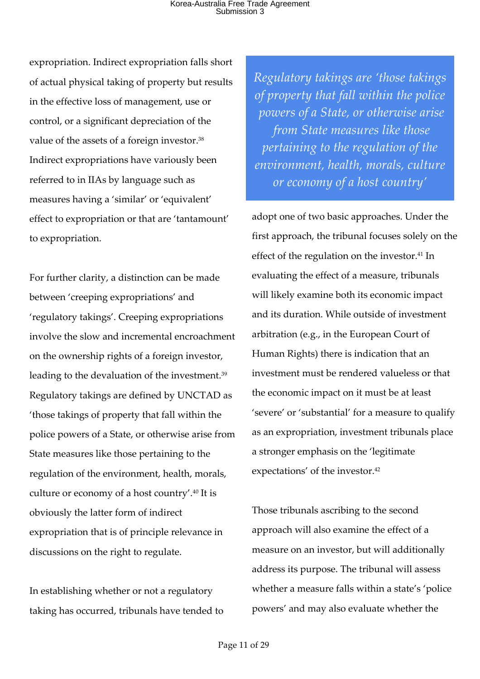expropriation. Indirect expropriation falls short of actual physical taking of property but results in the effective loss of management, use or control, or a significant depreciation of the value of the assets of a foreign investor.38 Indirect expropriations have variously been referred to in IIAs by language such as measures having a 'similar' or 'equivalent' effect to expropriation or that are 'tantamount' to expropriation.

For further clarity, a distinction can be made between 'creeping expropriations' and 'regulatory takings'. Creeping expropriations involve the slow and incremental encroachment on the ownership rights of a foreign investor, leading to the devaluation of the investment.39 Regulatory takings are defined by UNCTAD as 'those takings of property that fall within the police powers of a State, or otherwise arise from State measures like those pertaining to the regulation of the environment, health, morals, culture or economy of a host country'.40 It is obviously the latter form of indirect expropriation that is of principle relevance in discussions on the right to regulate.

In establishing whether or not a regulatory taking has occurred, tribunals have tended to *Regulatory takings are 'those takings of property that fall within the police powers of a State, or otherwise arise from State measures like those pertaining to the regulation of the environment, health, morals, culture or economy of a host country'*

adopt one of two basic approaches. Under the first approach, the tribunal focuses solely on the effect of the regulation on the investor.<sup>41</sup> In evaluating the effect of a measure, tribunals will likely examine both its economic impact and its duration. While outside of investment arbitration (e.g., in the European Court of Human Rights) there is indication that an investment must be rendered valueless or that the economic impact on it must be at least 'severe' or 'substantial' for a measure to qualify as an expropriation, investment tribunals place a stronger emphasis on the 'legitimate expectations' of the investor.<sup>42</sup>

Those tribunals ascribing to the second approach will also examine the effect of a measure on an investor, but will additionally address its purpose. The tribunal will assess whether a measure falls within a state's 'police powers' and may also evaluate whether the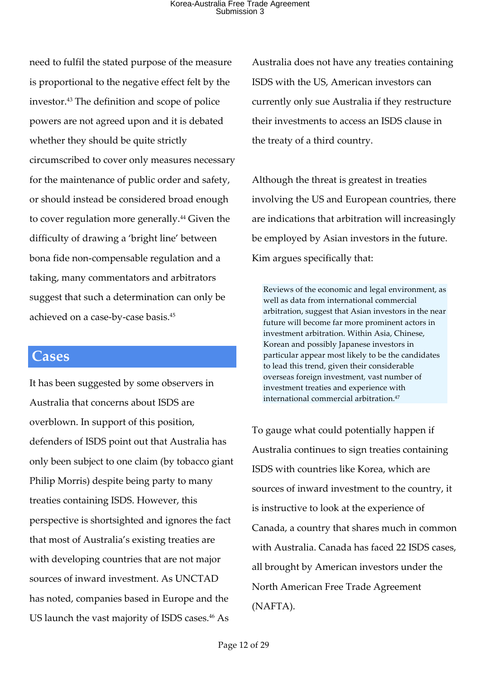need to fulfil the stated purpose of the measure is proportional to the negative effect felt by the investor.43 The definition and scope of police powers are not agreed upon and it is debated whether they should be quite strictly circumscribed to cover only measures necessary for the maintenance of public order and safety, or should instead be considered broad enough to cover regulation more generally.<sup>44</sup> Given the difficulty of drawing a 'bright line' between bona fide non-compensable regulation and a taking, many commentators and arbitrators suggest that such a determination can only be achieved on a case-by-case basis.45

### **Cases**

It has been suggested by some observers in Australia that concerns about ISDS are overblown. In support of this position, defenders of ISDS point out that Australia has only been subject to one claim (by tobacco giant Philip Morris) despite being party to many treaties containing ISDS. However, this perspective is shortsighted and ignores the fact that most of Australia's existing treaties are with developing countries that are not major sources of inward investment. As UNCTAD has noted, companies based in Europe and the US launch the vast majority of ISDS cases.<sup>46</sup> As

Australia does not have any treaties containing ISDS with the US, American investors can currently only sue Australia if they restructure their investments to access an ISDS clause in the treaty of a third country.

Although the threat is greatest in treaties involving the US and European countries, there are indications that arbitration will increasingly be employed by Asian investors in the future. Kim argues specifically that:

Reviews of the economic and legal environment, as well as data from international commercial arbitration, suggest that Asian investors in the near future will become far more prominent actors in investment arbitration. Within Asia, Chinese, Korean and possibly Japanese investors in particular appear most likely to be the candidates to lead this trend, given their considerable overseas foreign investment, vast number of investment treaties and experience with international commercial arbitration.47

To gauge what could potentially happen if Australia continues to sign treaties containing ISDS with countries like Korea, which are sources of inward investment to the country, it is instructive to look at the experience of Canada, a country that shares much in common with Australia. Canada has faced 22 ISDS cases, all brought by American investors under the North American Free Trade Agreement (NAFTA).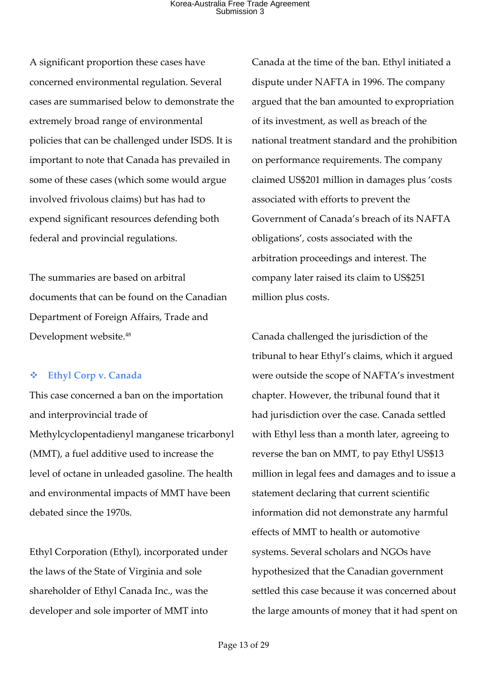A significant proportion these cases have concerned environmental regulation. Several cases are summarised below to demonstrate the extremely broad range of environmental policies that can be challenged under ISDS. It is important to note that Canada has prevailed in some of these cases (which some would argue involved frivolous claims) but has had to expend significant resources defending both federal and provincial regulations.

The summaries are based on arbitral documents that can be found on the Canadian Department of Foreign Affairs, Trade and Development website.48

#### v **Ethyl Corp v. Canada**

This case concerned a ban on the importation and interprovincial trade of Methylcyclopentadienyl manganese tricarbonyl (MMT), a fuel additive used to increase the level of octane in unleaded gasoline. The health and environmental impacts of MMT have been debated since the 1970s.

Ethyl Corporation (Ethyl), incorporated under the laws of the State of Virginia and sole shareholder of Ethyl Canada Inc., was the developer and sole importer of MMT into

Canada at the time of the ban. Ethyl initiated a dispute under NAFTA in 1996. The company argued that the ban amounted to expropriation of its investment, as well as breach of the national treatment standard and the prohibition on performance requirements. The company claimed US\$201 million in damages plus 'costs associated with efforts to prevent the Government of Canada's breach of its NAFTA obligations', costs associated with the arbitration proceedings and interest. The company later raised its claim to US\$251 million plus costs.

Canada challenged the jurisdiction of the tribunal to hear Ethyl's claims, which it argued were outside the scope of NAFTA's investment chapter. However, the tribunal found that it had jurisdiction over the case. Canada settled with Ethyl less than a month later, agreeing to reverse the ban on MMT, to pay Ethyl US\$13 million in legal fees and damages and to issue a statement declaring that current scientific information did not demonstrate any harmful effects of MMT to health or automotive systems. Several scholars and NGOs have hypothesized that the Canadian government settled this case because it was concerned about the large amounts of money that it had spent on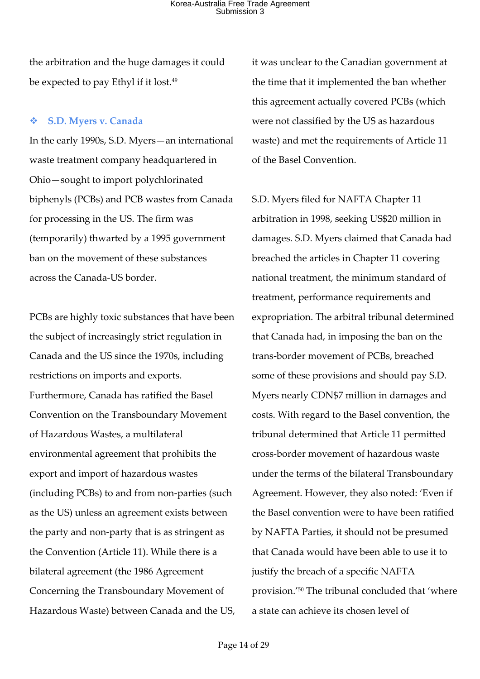the arbitration and the huge damages it could be expected to pay Ethyl if it lost.<sup>49</sup>

#### v **S.D. Myers v. Canada**

In the early 1990s, S.D. Myers—an international waste treatment company headquartered in Ohio—sought to import polychlorinated biphenyls (PCBs) and PCB wastes from Canada for processing in the US. The firm was (temporarily) thwarted by a 1995 government ban on the movement of these substances across the Canada-US border.

PCBs are highly toxic substances that have been the subject of increasingly strict regulation in Canada and the US since the 1970s, including restrictions on imports and exports. Furthermore, Canada has ratified the Basel Convention on the Transboundary Movement of Hazardous Wastes, a multilateral environmental agreement that prohibits the export and import of hazardous wastes (including PCBs) to and from non-parties (such as the US) unless an agreement exists between the party and non-party that is as stringent as the Convention (Article 11). While there is a bilateral agreement (the 1986 Agreement Concerning the Transboundary Movement of Hazardous Waste) between Canada and the US, it was unclear to the Canadian government at the time that it implemented the ban whether this agreement actually covered PCBs (which were not classified by the US as hazardous waste) and met the requirements of Article 11 of the Basel Convention.

S.D. Myers filed for NAFTA Chapter 11 arbitration in 1998, seeking US\$20 million in damages. S.D. Myers claimed that Canada had breached the articles in Chapter 11 covering national treatment, the minimum standard of treatment, performance requirements and expropriation. The arbitral tribunal determined that Canada had, in imposing the ban on the trans-border movement of PCBs, breached some of these provisions and should pay S.D. Myers nearly CDN\$7 million in damages and costs. With regard to the Basel convention, the tribunal determined that Article 11 permitted cross-border movement of hazardous waste under the terms of the bilateral Transboundary Agreement. However, they also noted: 'Even if the Basel convention were to have been ratified by NAFTA Parties, it should not be presumed that Canada would have been able to use it to justify the breach of a specific NAFTA provision.'50 The tribunal concluded that 'where a state can achieve its chosen level of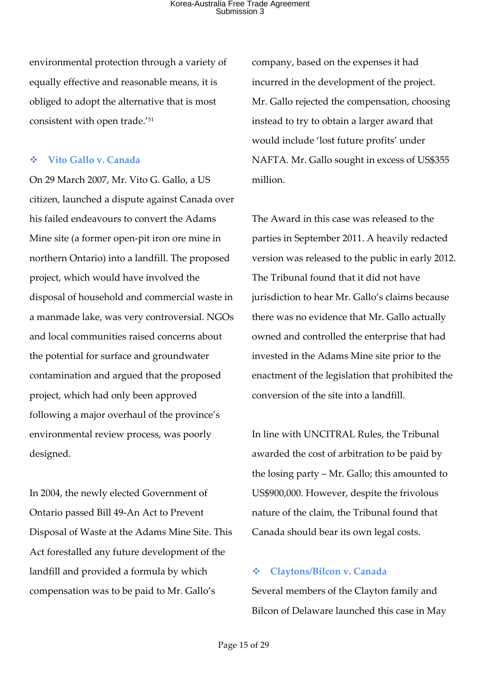environmental protection through a variety of equally effective and reasonable means, it is obliged to adopt the alternative that is most consistent with open trade.'51

#### v **Vito Gallo v. Canada**

On 29 March 2007, Mr. Vito G. Gallo, a US citizen, launched a dispute against Canada over his failed endeavours to convert the Adams Mine site (a former open-pit iron ore mine in northern Ontario) into a landfill. The proposed project, which would have involved the disposal of household and commercial waste in a manmade lake, was very controversial. NGOs and local communities raised concerns about the potential for surface and groundwater contamination and argued that the proposed project, which had only been approved following a major overhaul of the province's environmental review process, was poorly designed.

In 2004, the newly elected Government of Ontario passed Bill 49-An Act to Prevent Disposal of Waste at the Adams Mine Site. This Act forestalled any future development of the landfill and provided a formula by which compensation was to be paid to Mr. Gallo's

company, based on the expenses it had incurred in the development of the project. Mr. Gallo rejected the compensation, choosing instead to try to obtain a larger award that would include 'lost future profits' under NAFTA. Mr. Gallo sought in excess of US\$355 million.

The Award in this case was released to the parties in September 2011. A heavily redacted version was released to the public in early 2012. The Tribunal found that it did not have jurisdiction to hear Mr. Gallo's claims because there was no evidence that Mr. Gallo actually owned and controlled the enterprise that had invested in the Adams Mine site prior to the enactment of the legislation that prohibited the conversion of the site into a landfill.

In line with UNCITRAL Rules, the Tribunal awarded the cost of arbitration to be paid by the losing party – Mr. Gallo; this amounted to US\$900,000. However, despite the frivolous nature of the claim, the Tribunal found that Canada should bear its own legal costs.

#### v **Claytons/Bilcon v. Canada**

Several members of the Clayton family and Bilcon of Delaware launched this case in May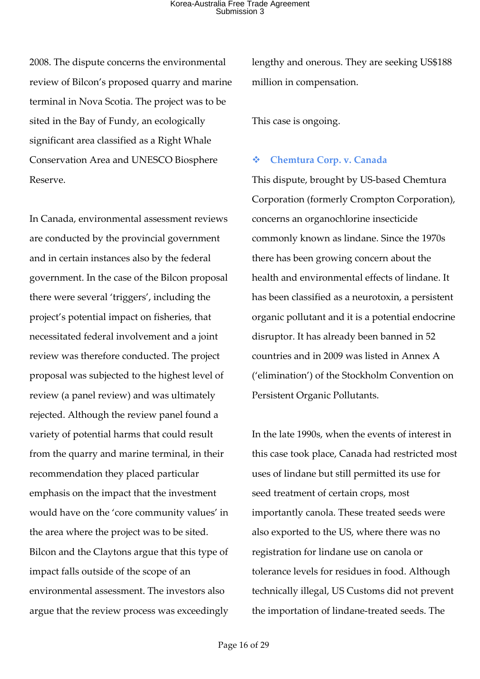2008. The dispute concerns the environmental review of Bilcon's proposed quarry and marine terminal in Nova Scotia. The project was to be sited in the Bay of Fundy, an ecologically significant area classified as a Right Whale Conservation Area and UNESCO Biosphere Reserve.

In Canada, environmental assessment reviews are conducted by the provincial government and in certain instances also by the federal government. In the case of the Bilcon proposal there were several 'triggers', including the project's potential impact on fisheries, that necessitated federal involvement and a joint review was therefore conducted. The project proposal was subjected to the highest level of review (a panel review) and was ultimately rejected. Although the review panel found a variety of potential harms that could result from the quarry and marine terminal, in their recommendation they placed particular emphasis on the impact that the investment would have on the 'core community values' in the area where the project was to be sited. Bilcon and the Claytons argue that this type of impact falls outside of the scope of an environmental assessment. The investors also argue that the review process was exceedingly lengthy and onerous. They are seeking US\$188 million in compensation.

This case is ongoing.

#### v **Chemtura Corp. v. Canada**

This dispute, brought by US-based Chemtura Corporation (formerly Crompton Corporation), concerns an organochlorine insecticide commonly known as lindane. Since the 1970s there has been growing concern about the health and environmental effects of lindane. It has been classified as a neurotoxin, a persistent organic pollutant and it is a potential endocrine disruptor. It has already been banned in 52 countries and in 2009 was listed in Annex A ('elimination') of the Stockholm Convention on Persistent Organic Pollutants.

In the late 1990s, when the events of interest in this case took place, Canada had restricted most uses of lindane but still permitted its use for seed treatment of certain crops, most importantly canola. These treated seeds were also exported to the US, where there was no registration for lindane use on canola or tolerance levels for residues in food. Although technically illegal, US Customs did not prevent the importation of lindane-treated seeds. The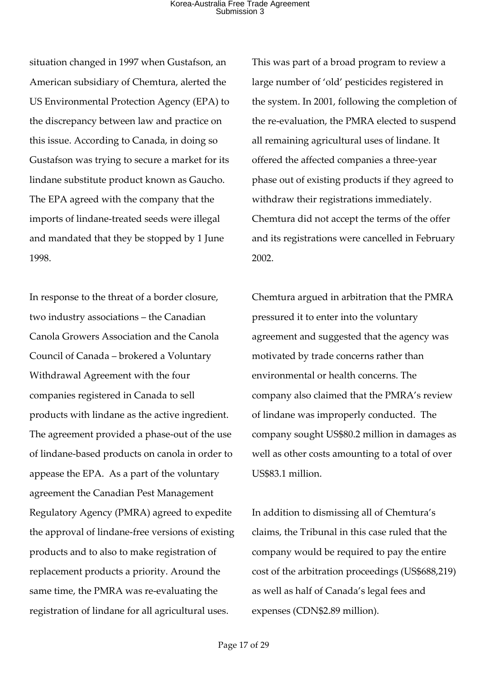situation changed in 1997 when Gustafson, an American subsidiary of Chemtura, alerted the US Environmental Protection Agency (EPA) to the discrepancy between law and practice on this issue. According to Canada, in doing so Gustafson was trying to secure a market for its lindane substitute product known as Gaucho. The EPA agreed with the company that the imports of lindane-treated seeds were illegal and mandated that they be stopped by 1 June 1998.

In response to the threat of a border closure, two industry associations – the Canadian Canola Growers Association and the Canola Council of Canada – brokered a Voluntary Withdrawal Agreement with the four companies registered in Canada to sell products with lindane as the active ingredient. The agreement provided a phase-out of the use of lindane-based products on canola in order to appease the EPA. As a part of the voluntary agreement the Canadian Pest Management Regulatory Agency (PMRA) agreed to expedite the approval of lindane-free versions of existing products and to also to make registration of replacement products a priority. Around the same time, the PMRA was re-evaluating the registration of lindane for all agricultural uses.

This was part of a broad program to review a large number of 'old' pesticides registered in the system. In 2001, following the completion of the re-evaluation, the PMRA elected to suspend all remaining agricultural uses of lindane. It offered the affected companies a three-year phase out of existing products if they agreed to withdraw their registrations immediately. Chemtura did not accept the terms of the offer and its registrations were cancelled in February 2002.

Chemtura argued in arbitration that the PMRA pressured it to enter into the voluntary agreement and suggested that the agency was motivated by trade concerns rather than environmental or health concerns. The company also claimed that the PMRA's review of lindane was improperly conducted. The company sought US\$80.2 million in damages as well as other costs amounting to a total of over US\$83.1 million.

In addition to dismissing all of Chemtura's claims, the Tribunal in this case ruled that the company would be required to pay the entire cost of the arbitration proceedings (US\$688,219) as well as half of Canada's legal fees and expenses (CDN\$2.89 million).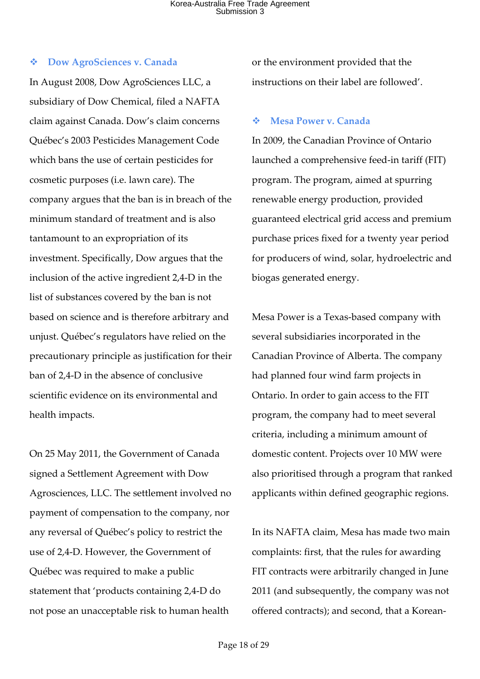#### v **Dow AgroSciences v. Canada**

In August 2008, Dow AgroSciences LLC, a subsidiary of Dow Chemical, filed a NAFTA claim against Canada. Dow's claim concerns Québec's 2003 Pesticides Management Code which bans the use of certain pesticides for cosmetic purposes (i.e. lawn care). The company argues that the ban is in breach of the minimum standard of treatment and is also tantamount to an expropriation of its investment. Specifically, Dow argues that the inclusion of the active ingredient 2,4-D in the list of substances covered by the ban is not based on science and is therefore arbitrary and unjust. Québec's regulators have relied on the precautionary principle as justification for their ban of 2,4-D in the absence of conclusive scientific evidence on its environmental and health impacts.

On 25 May 2011, the Government of Canada signed a Settlement Agreement with Dow Agrosciences, LLC. The settlement involved no payment of compensation to the company, nor any reversal of Québec's policy to restrict the use of 2,4-D. However, the Government of Québec was required to make a public statement that 'products containing 2,4-D do not pose an unacceptable risk to human health

or the environment provided that the instructions on their label are followed'.

#### v **Mesa Power v. Canada**

In 2009, the Canadian Province of Ontario launched a comprehensive feed-in tariff (FIT) program. The program, aimed at spurring renewable energy production, provided guaranteed electrical grid access and premium purchase prices fixed for a twenty year period for producers of wind, solar, hydroelectric and biogas generated energy.

Mesa Power is a Texas-based company with several subsidiaries incorporated in the Canadian Province of Alberta. The company had planned four wind farm projects in Ontario. In order to gain access to the FIT program, the company had to meet several criteria, including a minimum amount of domestic content. Projects over 10 MW were also prioritised through a program that ranked applicants within defined geographic regions.

In its NAFTA claim, Mesa has made two main complaints: first, that the rules for awarding FIT contracts were arbitrarily changed in June 2011 (and subsequently, the company was not offered contracts); and second, that a Korean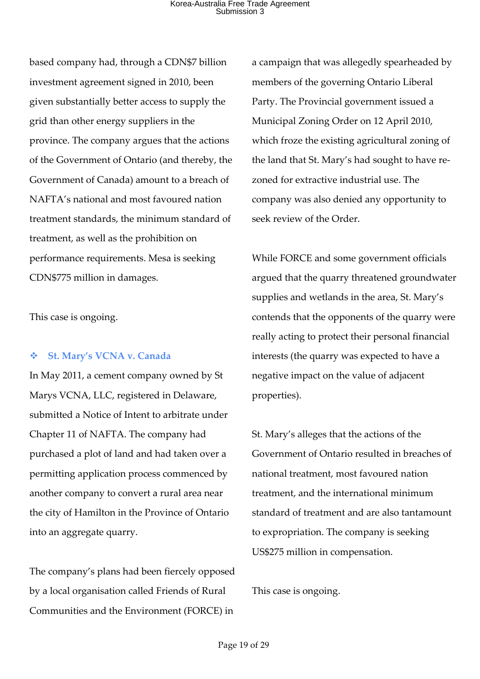based company had, through a CDN\$7 billion investment agreement signed in 2010, been given substantially better access to supply the grid than other energy suppliers in the province. The company argues that the actions of the Government of Ontario (and thereby, the Government of Canada) amount to a breach of NAFTA's national and most favoured nation treatment standards, the minimum standard of treatment, as well as the prohibition on performance requirements. Mesa is seeking CDN\$775 million in damages.

This case is ongoing.

#### v **St. Mary's VCNA v. Canada**

In May 2011, a cement company owned by St Marys VCNA, LLC, registered in Delaware, submitted a Notice of Intent to arbitrate under Chapter 11 of NAFTA. The company had purchased a plot of land and had taken over a permitting application process commenced by another company to convert a rural area near the city of Hamilton in the Province of Ontario into an aggregate quarry.

The company's plans had been fiercely opposed by a local organisation called Friends of Rural Communities and the Environment (FORCE) in

a campaign that was allegedly spearheaded by members of the governing Ontario Liberal Party. The Provincial government issued a Municipal Zoning Order on 12 April 2010, which froze the existing agricultural zoning of the land that St. Mary's had sought to have rezoned for extractive industrial use. The company was also denied any opportunity to seek review of the Order.

While FORCE and some government officials argued that the quarry threatened groundwater supplies and wetlands in the area, St. Mary's contends that the opponents of the quarry were really acting to protect their personal financial interests (the quarry was expected to have a negative impact on the value of adjacent properties).

St. Mary's alleges that the actions of the Government of Ontario resulted in breaches of national treatment, most favoured nation treatment, and the international minimum standard of treatment and are also tantamount to expropriation. The company is seeking US\$275 million in compensation.

This case is ongoing.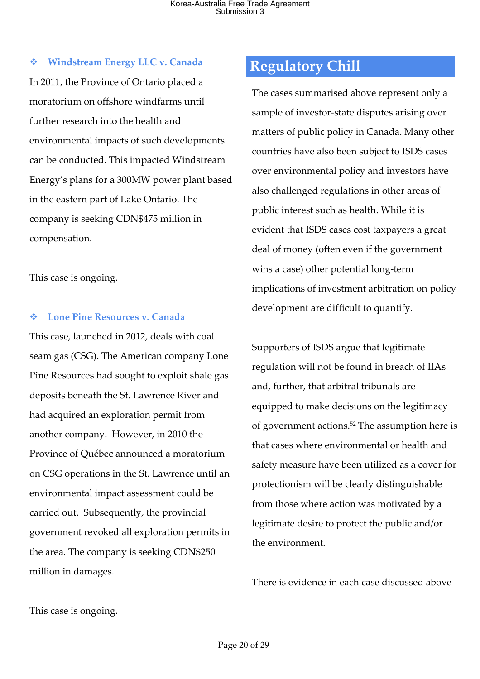#### v **Windstream Energy LLC v. Canada**

In 2011, the Province of Ontario placed a moratorium on offshore windfarms until further research into the health and environmental impacts of such developments can be conducted. This impacted Windstream Energy's plans for a 300MW power plant based in the eastern part of Lake Ontario. The company is seeking CDN\$475 million in compensation.

This case is ongoing.

#### v **Lone Pine Resources v. Canada**

This case, launched in 2012, deals with coal seam gas (CSG). The American company Lone Pine Resources had sought to exploit shale gas deposits beneath the St. Lawrence River and had acquired an exploration permit from another company. However, in 2010 the Province of Québec announced a moratorium on CSG operations in the St. Lawrence until an environmental impact assessment could be carried out. Subsequently, the provincial government revoked all exploration permits in the area. The company is seeking CDN\$250 million in damages.

### **Regulatory Chill**

The cases summarised above represent only a sample of investor-state disputes arising over matters of public policy in Canada. Many other countries have also been subject to ISDS cases over environmental policy and investors have also challenged regulations in other areas of public interest such as health. While it is evident that ISDS cases cost taxpayers a great deal of money (often even if the government wins a case) other potential long-term implications of investment arbitration on policy development are difficult to quantify.

Supporters of ISDS argue that legitimate regulation will not be found in breach of IIAs and, further, that arbitral tribunals are equipped to make decisions on the legitimacy of government actions.52 The assumption here is that cases where environmental or health and safety measure have been utilized as a cover for protectionism will be clearly distinguishable from those where action was motivated by a legitimate desire to protect the public and/or the environment.

There is evidence in each case discussed above

This case is ongoing.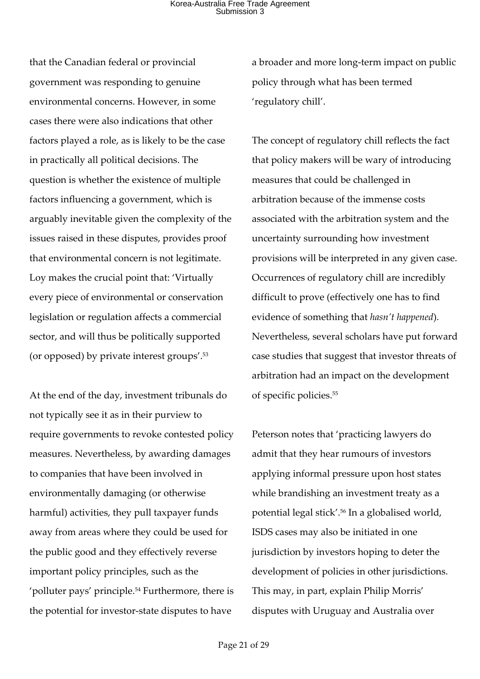that the Canadian federal or provincial government was responding to genuine environmental concerns. However, in some cases there were also indications that other factors played a role, as is likely to be the case in practically all political decisions. The question is whether the existence of multiple factors influencing a government, which is arguably inevitable given the complexity of the issues raised in these disputes, provides proof that environmental concern is not legitimate. Loy makes the crucial point that: 'Virtually every piece of environmental or conservation legislation or regulation affects a commercial sector, and will thus be politically supported (or opposed) by private interest groups'.53

At the end of the day, investment tribunals do not typically see it as in their purview to require governments to revoke contested policy measures. Nevertheless, by awarding damages to companies that have been involved in environmentally damaging (or otherwise harmful) activities, they pull taxpayer funds away from areas where they could be used for the public good and they effectively reverse important policy principles, such as the 'polluter pays' principle.54 Furthermore, there is the potential for investor-state disputes to have

a broader and more long-term impact on public policy through what has been termed 'regulatory chill'.

The concept of regulatory chill reflects the fact that policy makers will be wary of introducing measures that could be challenged in arbitration because of the immense costs associated with the arbitration system and the uncertainty surrounding how investment provisions will be interpreted in any given case. Occurrences of regulatory chill are incredibly difficult to prove (effectively one has to find evidence of something that *hasn't happened*). Nevertheless, several scholars have put forward case studies that suggest that investor threats of arbitration had an impact on the development of specific policies.55

Peterson notes that 'practicing lawyers do admit that they hear rumours of investors applying informal pressure upon host states while brandishing an investment treaty as a potential legal stick'.56 In a globalised world, ISDS cases may also be initiated in one jurisdiction by investors hoping to deter the development of policies in other jurisdictions. This may, in part, explain Philip Morris' disputes with Uruguay and Australia over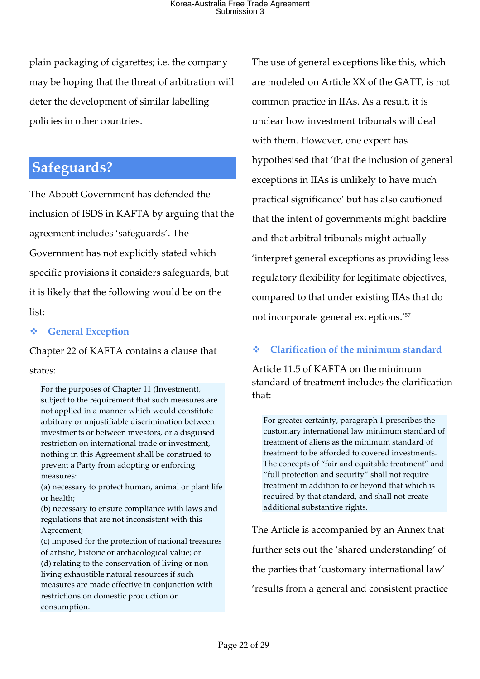plain packaging of cigarettes; i.e. the company may be hoping that the threat of arbitration will deter the development of similar labelling policies in other countries.

### **Safeguards?**

The Abbott Government has defended the inclusion of ISDS in KAFTA by arguing that the agreement includes 'safeguards'. The Government has not explicitly stated which specific provisions it considers safeguards, but it is likely that the following would be on the list:

#### v **General Exception**

Chapter 22 of KAFTA contains a clause that states:

For the purposes of Chapter 11 (Investment), subject to the requirement that such measures are not applied in a manner which would constitute arbitrary or unjustifiable discrimination between investments or between investors, or a disguised restriction on international trade or investment, nothing in this Agreement shall be construed to prevent a Party from adopting or enforcing measures:

(a) necessary to protect human, animal or plant life or health;

(b) necessary to ensure compliance with laws and regulations that are not inconsistent with this Agreement;

(c) imposed for the protection of national treasures of artistic, historic or archaeological value; or (d) relating to the conservation of living or nonliving exhaustible natural resources if such measures are made effective in conjunction with restrictions on domestic production or consumption.

The use of general exceptions like this, which are modeled on Article XX of the GATT, is not common practice in IIAs. As a result, it is unclear how investment tribunals will deal with them. However, one expert has hypothesised that 'that the inclusion of general exceptions in IIAs is unlikely to have much practical significance' but has also cautioned that the intent of governments might backfire and that arbitral tribunals might actually 'interpret general exceptions as providing less regulatory flexibility for legitimate objectives, compared to that under existing IIAs that do not incorporate general exceptions.'57

### v **Clarification of the minimum standard**

Article 11.5 of KAFTA on the minimum standard of treatment includes the clarification that:

For greater certainty, paragraph 1 prescribes the customary international law minimum standard of treatment of aliens as the minimum standard of treatment to be afforded to covered investments. The concepts of "fair and equitable treatment" and "full protection and security" shall not require treatment in addition to or beyond that which is required by that standard, and shall not create additional substantive rights.

The Article is accompanied by an Annex that further sets out the 'shared understanding' of the parties that 'customary international law' 'results from a general and consistent practice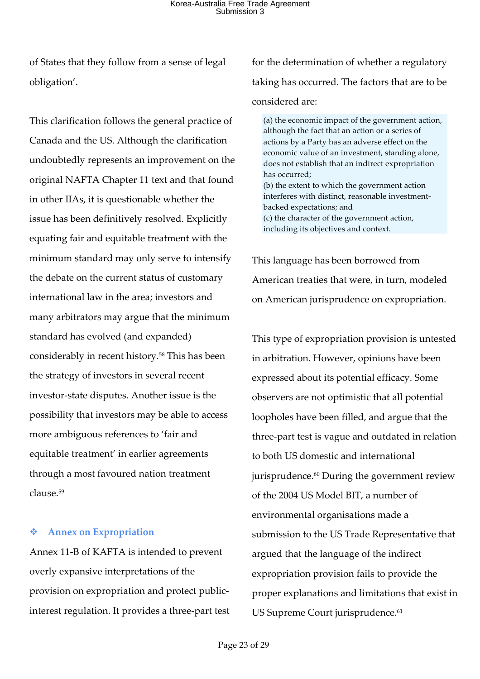of States that they follow from a sense of legal obligation'.

This clarification follows the general practice of Canada and the US. Although the clarification undoubtedly represents an improvement on the original NAFTA Chapter 11 text and that found in other IIAs, it is questionable whether the issue has been definitively resolved. Explicitly equating fair and equitable treatment with the minimum standard may only serve to intensify the debate on the current status of customary international law in the area; investors and many arbitrators may argue that the minimum standard has evolved (and expanded) considerably in recent history.58 This has been the strategy of investors in several recent investor-state disputes. Another issue is the possibility that investors may be able to access more ambiguous references to 'fair and equitable treatment' in earlier agreements through a most favoured nation treatment  $cl$ ause $59$ 

#### v **Annex on Expropriation**

Annex 11-B of KAFTA is intended to prevent overly expansive interpretations of the provision on expropriation and protect publicinterest regulation. It provides a three-part test for the determination of whether a regulatory taking has occurred. The factors that are to be considered are:

(a) the economic impact of the government action, although the fact that an action or a series of actions by a Party has an adverse effect on the economic value of an investment, standing alone, does not establish that an indirect expropriation has occurred; (b) the extent to which the government action interferes with distinct, reasonable investmentbacked expectations; and (c) the character of the government action, including its objectives and context.

This language has been borrowed from American treaties that were, in turn, modeled on American jurisprudence on expropriation.

This type of expropriation provision is untested in arbitration. However, opinions have been expressed about its potential efficacy. Some observers are not optimistic that all potential loopholes have been filled, and argue that the three-part test is vague and outdated in relation to both US domestic and international jurisprudence.<sup>60</sup> During the government review of the 2004 US Model BIT, a number of environmental organisations made a submission to the US Trade Representative that argued that the language of the indirect expropriation provision fails to provide the proper explanations and limitations that exist in US Supreme Court jurisprudence.<sup>61</sup>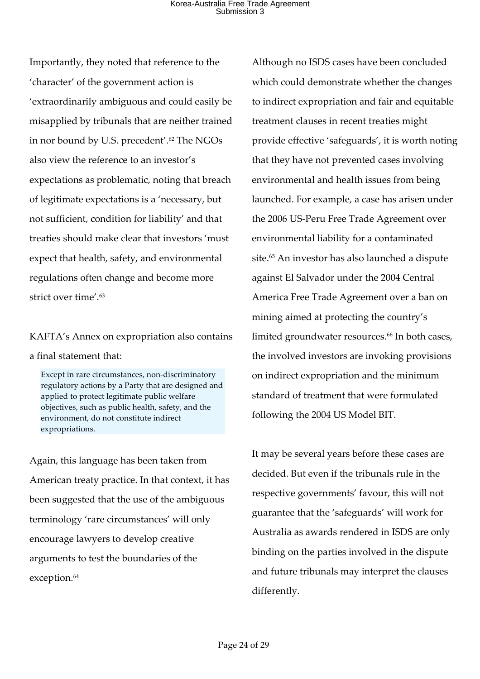Importantly, they noted that reference to the 'character' of the government action is 'extraordinarily ambiguous and could easily be misapplied by tribunals that are neither trained in nor bound by U.S. precedent'. <sup>62</sup> The NGOs also view the reference to an investor's expectations as problematic, noting that breach of legitimate expectations is a 'necessary, but not sufficient, condition for liability' and that treaties should make clear that investors 'must expect that health, safety, and environmental regulations often change and become more strict over time'.<sup>63</sup>

KAFTA's Annex on expropriation also contains a final statement that:

Except in rare circumstances, non-discriminatory regulatory actions by a Party that are designed and applied to protect legitimate public welfare objectives, such as public health, safety, and the environment, do not constitute indirect expropriations.

Again, this language has been taken from American treaty practice. In that context, it has been suggested that the use of the ambiguous terminology 'rare circumstances' will only encourage lawyers to develop creative arguments to test the boundaries of the exception.<sup>64</sup>

Although no ISDS cases have been concluded which could demonstrate whether the changes to indirect expropriation and fair and equitable treatment clauses in recent treaties might provide effective 'safeguards', it is worth noting that they have not prevented cases involving environmental and health issues from being launched. For example, a case has arisen under the 2006 US-Peru Free Trade Agreement over environmental liability for a contaminated site.<sup>65</sup> An investor has also launched a dispute against El Salvador under the 2004 Central America Free Trade Agreement over a ban on mining aimed at protecting the country's limited groundwater resources.<sup>66</sup> In both cases, the involved investors are invoking provisions on indirect expropriation and the minimum standard of treatment that were formulated following the 2004 US Model BIT.

It may be several years before these cases are decided. But even if the tribunals rule in the respective governments' favour, this will not guarantee that the 'safeguards' will work for Australia as awards rendered in ISDS are only binding on the parties involved in the dispute and future tribunals may interpret the clauses differently.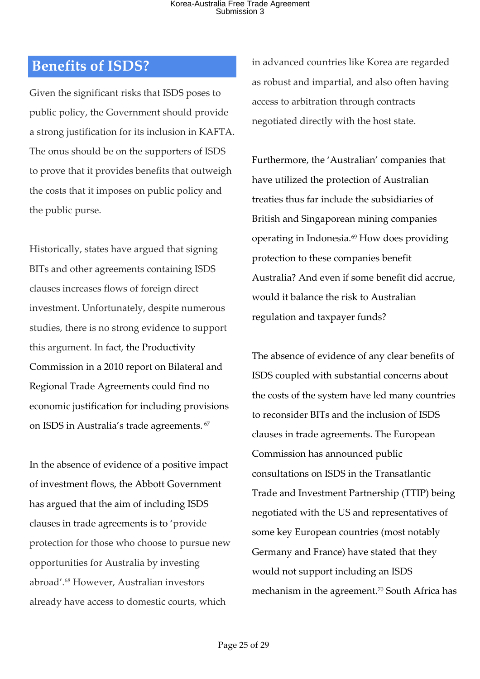### **Benefits of ISDS?**

Given the significant risks that ISDS poses to public policy, the Government should provide a strong justification for its inclusion in KAFTA. The onus should be on the supporters of ISDS to prove that it provides benefits that outweigh the costs that it imposes on public policy and the public purse.

Historically, states have argued that signing BITs and other agreements containing ISDS clauses increases flows of foreign direct investment. Unfortunately, despite numerous studies, there is no strong evidence to support this argument. In fact, the Productivity Commission in a 2010 report on Bilateral and Regional Trade Agreements could find no economic justification for including provisions on ISDS in Australia's trade agreements. <sup>67</sup>

In the absence of evidence of a positive impact of investment flows, the Abbott Government has argued that the aim of including ISDS clauses in trade agreements is to 'provide protection for those who choose to pursue new opportunities for Australia by investing abroad'.68 However, Australian investors already have access to domestic courts, which

in advanced countries like Korea are regarded as robust and impartial, and also often having access to arbitration through contracts negotiated directly with the host state.

Furthermore, the 'Australian' companies that have utilized the protection of Australian treaties thus far include the subsidiaries of British and Singaporean mining companies operating in Indonesia.69 How does providing protection to these companies benefit Australia? And even if some benefit did accrue, would it balance the risk to Australian regulation and taxpayer funds?

The absence of evidence of any clear benefits of ISDS coupled with substantial concerns about the costs of the system have led many countries to reconsider BITs and the inclusion of ISDS clauses in trade agreements. The European Commission has announced public consultations on ISDS in the Transatlantic Trade and Investment Partnership (TTIP) being negotiated with the US and representatives of some key European countries (most notably Germany and France) have stated that they would not support including an ISDS mechanism in the agreement. <sup>70</sup> South Africa has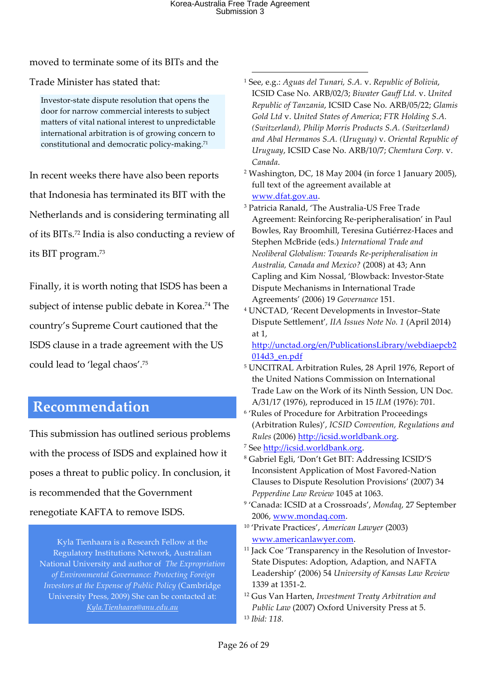moved to terminate some of its BITs and the

Trade Minister has stated that:

Investor-state dispute resolution that opens the door for narrow commercial interests to subject matters of vital national interest to unpredictable international arbitration is of growing concern to constitutional and democratic policy-making.71

In recent weeks there have also been reports that Indonesia has terminated its BIT with the Netherlands and is considering terminating all of its BITs. <sup>72</sup> India is also conducting a review of its BIT program.73

Finally, it is worth noting that ISDS has been a subject of intense public debate in Korea.<sup>74</sup> The country's Supreme Court cautioned that the ISDS clause in a trade agreement with the US could lead to 'legal chaos'.75

## **Recommendation**

This submission has outlined serious problems with the process of ISDS and explained how it poses a threat to public policy. In conclusion, it is recommended that the Government renegotiate KAFTA to remove ISDS.

Kyla Tienhaara is a Research Fellow at the Regulatory Institutions Network, Australian National University and author of *The Expropriation of Environmental Governance: Protecting Foreign Investors at the Expense of Public Policy* (Cambridge University Press, 2009) She can be contacted at: *Kyla.Tienhaara@anu.edu.au*

- <sup>1</sup> See, e.g.: *Aguas del Tunari, S.A.* v. *Republic of Bolivia*, ICSID Case No. ARB/02/3; *Biwater Gauff Ltd.* v. *United Republic of Tanzania*, ICSID Case No. ARB/05/22; *Glamis Gold Ltd* v. *United States of America*; *FTR Holding S.A. (Switzerland), Philip Morris Products S.A. (Switzerland) and Abal Hermanos S.A. (Uruguay)* v. *Oriental Republic of Uruguay*, ICSID Case No. ARB/10/7; *Chemtura Corp.* v. *Canada*.
- <sup>2</sup> Washington, DC, 18 May 2004 (in force 1 January 2005), full text of the agreement available at www.dfat.gov.au.
- <sup>3</sup> Patricia Ranald, 'The Australia-US Free Trade Agreement: Reinforcing Re-peripheralisation' in Paul Bowles, Ray Broomhill, Teresina Gutiérrez-Haces and Stephen McBride (eds.) *International Trade and Neoliberal Globalism: Towards Re-peripheralisation in Australia, Canada and Mexico?* (2008) at 43; Ann Capling and Kim Nossal, 'Blowback: Investor-State Dispute Mechanisms in International Trade Agreements' (2006) 19 *Governance* 151.
- <sup>4</sup> UNCTAD, 'Recent Developments in Investor–State Dispute Settlement'*, IIA Issues Note No. 1* (April 2014) at 1,

http://unctad.org/en/PublicationsLibrary/webdiaepcb2 014d3\_en.pdf

- <sup>5</sup> UNCITRAL Arbitration Rules, 28 April 1976, Report of the United Nations Commission on International Trade Law on the Work of its Ninth Session, UN Doc. A/31/17 (1976), reproduced in 15 *ILM* (1976): 701.
- <sup>6</sup> 'Rules of Procedure for Arbitration Proceedings (Arbitration Rules)', *ICSID Convention, Regulations and Rules* (2006) http://icsid.worldbank.org.
- <sup>7</sup> See http://icsid.worldbank.org.
- <sup>8</sup> Gabriel Egli, 'Don't Get BIT: Addressing ICSID'S Inconsistent Application of Most Favored-Nation Clauses to Dispute Resolution Provisions' (2007) 34 *Pepperdine Law Review* 1045 at 1063.
- <sup>9</sup> 'Canada: ICSID at a Crossroads', *Mondaq*, 27 September 2006, www.mondaq.com.
- <sup>10</sup> 'Private Practices', *American Lawyer* (2003) www.americanlawyer.com.
- <sup>11</sup> Jack Coe 'Transparency in the Resolution of Investor-State Disputes: Adoption, Adaption, and NAFTA Leadership' (2006) 54 *University of Kansas Law Review* 1339 at 1351-2.
- <sup>12</sup> Gus Van Harten, *Investment Treaty Arbitration and Public Law* (2007) Oxford University Press at 5. <sup>13</sup> *Ibid: 118.*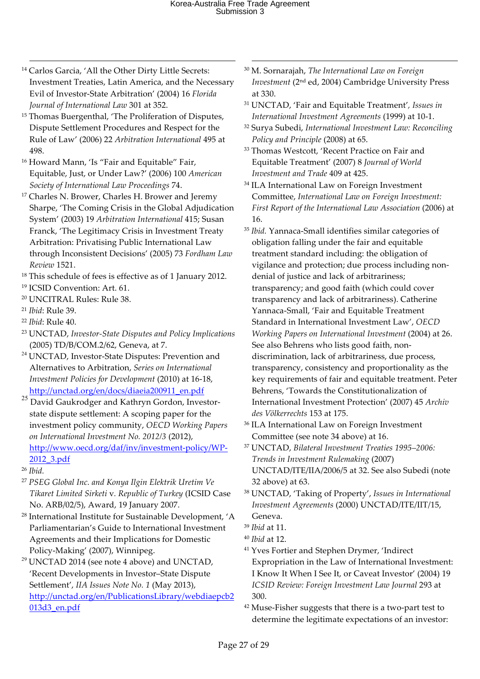- l <sup>14</sup> Carlos Garcia, 'All the Other Dirty Little Secrets: Investment Treaties, Latin America, and the Necessary Evil of Investor-State Arbitration' (2004) 16 *Florida Journal of International Law* 301 at 352.
- <sup>15</sup> Thomas Buergenthal, 'The Proliferation of Disputes, Dispute Settlement Procedures and Respect for the Rule of Law' (2006) 22 *Arbitration International* 495 at 498.
- <sup>16</sup> Howard Mann, 'Is "Fair and Equitable" Fair, Equitable, Just, or Under Law?' (2006) 100 *American Society of International Law Proceedings* 74.
- <sup>17</sup> Charles N. Brower, Charles H. Brower and Jeremy Sharpe, 'The Coming Crisis in the Global Adjudication System' (2003) 19 *Arbitration International* 415; Susan Franck, 'The Legitimacy Crisis in Investment Treaty Arbitration: Privatising Public International Law through Inconsistent Decisions' (2005) 73 *Fordham Law Review* 1521.
- <sup>18</sup> This schedule of fees is effective as of 1 January 2012.
- <sup>19</sup> ICSID Convention: Art. 61.
- <sup>20</sup> UNCITRAL Rules: Rule 38.
- <sup>21</sup> *Ibid*: Rule 39.
- <sup>22</sup> *Ibid*: Rule 40.
- <sup>23</sup> UNCTAD, *Investor-State Disputes and Policy Implications* (2005) TD/B/COM.2/62, Geneva, at 7.
- <sup>24</sup> UNCTAD, Investor-State Disputes: Prevention and Alternatives to Arbitration, *Series on International Investment Policies for Development* (2010) at 16-18, http://unctad.org/en/docs/diaeia200911\_en.pdf
- 25 David Gaukrodger and Kathryn Gordon, Investorstate dispute settlement: A scoping paper for the investment policy community, *OECD Working Papers on International Investment No. 2012/3* (2012), http://www.oecd.org/daf/inv/investment-policy/WP-2012\_3.pdf
- <sup>26</sup> *Ibid.*
- <sup>27</sup> *PSEG Global Inc. and Konya Ilgin Elektrik Uretim Ve Tikaret Limited Sirketi* v*. Republic of Turkey* (ICSID Case No. ARB/02/5), Award, 19 January 2007.
- <sup>28</sup> International Institute for Sustainable Development, 'A Parliamentarian's Guide to International Investment Agreements and their Implications for Domestic Policy-Making' (2007), Winnipeg.
- $29$  UNCTAD 2014 (see note 4 above) and UNCTAD, 'Recent Developments in Investor–State Dispute Settlement', *IIA Issues Note No. 1* (May 2013), http://unctad.org/en/PublicationsLibrary/webdiaepcb2 013d3\_en.pdf
- <sup>30</sup> M. Sornarajah, *The International Law on Foreign Investment* (2nd ed, 2004) Cambridge University Press at 330.
- <sup>31</sup> UNCTAD, 'Fair and Equitable Treatment'*, Issues in International Investment Agreements* (1999) at 10-1.
- <sup>32</sup> Surya Subedi, *International Investment Law: Reconciling Policy and Principle* (2008) at 65.
- <sup>33</sup> Thomas Westcott, 'Recent Practice on Fair and Equitable Treatment' (2007) 8 *Journal of World Investment and Trade* 409 at 425.
- <sup>34</sup> ILA International Law on Foreign Investment Committee, *International Law on Foreign Investment: First Report of the International Law Association* (2006) at 16.
- <sup>35</sup> *Ibid.* Yannaca-Small identifies similar categories of obligation falling under the fair and equitable treatment standard including: the obligation of vigilance and protection; due process including nondenial of justice and lack of arbitrariness; transparency; and good faith (which could cover transparency and lack of arbitrariness). Catherine Yannaca-Small, 'Fair and Equitable Treatment Standard in International Investment Law', *OECD Working Papers on International Investment* (2004) at 26. See also Behrens who lists good faith, nondiscrimination, lack of arbitrariness, due process, transparency, consistency and proportionality as the key requirements of fair and equitable treatment. Peter Behrens, 'Towards the Constitutionalization of International Investment Protection' (2007) 45 *Archiv des Völkerrechts* 153 at 175.
- <sup>36</sup> ILA International Law on Foreign Investment Committee (see note 34 above) at 16.
- <sup>37</sup> UNCTAD, *Bilateral Investment Treaties 1995–2006: Trends in Investment Rulemaking* (2007) UNCTAD/ITE/IIA/2006/5 at 32. See also Subedi (note 32 above) at 63.
- <sup>38</sup> UNCTAD, 'Taking of Property', *Issues in International Investment Agreements* (2000) UNCTAD/ITE/IIT/15, Geneva.
- <sup>39</sup> *Ibid* at 11.
- <sup>40</sup> *Ibid* at 12.
- <sup>41</sup> Yves Fortier and Stephen Drymer, 'Indirect Expropriation in the Law of International Investment: I Know It When I See It, or Caveat Investor' (2004) 19 *ICSID Review: Foreign Investment Law Journal* 293 at 300.
- <sup>42</sup> Muse-Fisher suggests that there is a two-part test to determine the legitimate expectations of an investor: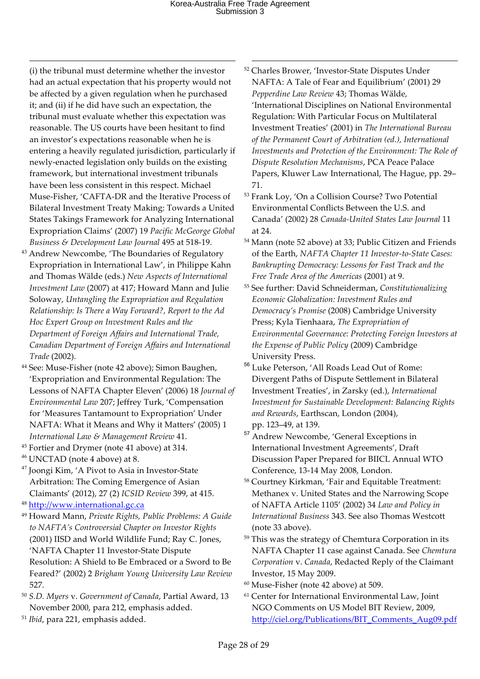(i) the tribunal must determine whether the investor had an actual expectation that his property would not be affected by a given regulation when he purchased it; and (ii) if he did have such an expectation, the tribunal must evaluate whether this expectation was reasonable. The US courts have been hesitant to find an investor's expectations reasonable when he is entering a heavily regulated jurisdiction, particularly if newly-enacted legislation only builds on the existing framework, but international investment tribunals have been less consistent in this respect. Michael Muse-Fisher, 'CAFTA-DR and the Iterative Process of Bilateral Investment Treaty Making: Towards a United States Takings Framework for Analyzing International Expropriation Claims' (2007) 19 *Pacific McGeorge Global Business & Development Law Journal* 495 at 518-19.

l

- <sup>43</sup> Andrew Newcombe, 'The Boundaries of Regulatory Expropriation in International Law', in Philippe Kahn and Thomas Wälde (eds.) *New Aspects of International Investment Law* (2007) at 417; Howard Mann and Julie Soloway, *Untangling the Expropriation and Regulation Relationship: Is There a Way Forward?, Report to the Ad Hoc Expert Group on Investment Rules and the Department of Foreign Affairs and International Trade, Canadian Department of Foreign Affairs and International Trade* (2002).
- <sup>44</sup> See: Muse-Fisher (note 42 above); Simon Baughen, 'Expropriation and Environmental Regulation: The Lessons of NAFTA Chapter Eleven' (2006) 18 *Journal of Environmental Law* 207; Jeffrey Turk, 'Compensation for 'Measures Tantamount to Expropriation' Under NAFTA: What it Means and Why it Matters' (2005) 1 *International Law & Management Review* 41.
- <sup>45</sup> Fortier and Drymer (note 41 above) at 314.
- $46$  UNCTAD (note 4 above) at 8.
- <sup>47</sup> Joongi Kim, 'A Pivot to Asia in Investor-State Arbitration: The Coming Emergence of Asian Claimants' (2012), 27 (2) *ICSID Review* 399, at 415.
- <sup>48</sup> http://www.international.gc.ca
- <sup>49</sup> Howard Mann, *Private Rights, Public Problems: A Guide to NAFTA's Controversial Chapter on Investor Rights*  (2001) IISD and World Wildlife Fund; Ray C. Jones, 'NAFTA Chapter 11 Investor-State Dispute Resolution: A Shield to Be Embraced or a Sword to Be Feared?' (2002) 2 *Brigham Young University Law Review* 527.
- <sup>50</sup> *S.D. Myers* v. *Government of Canada*, Partial Award, 13 November 2000, para 212, emphasis added.
- <sup>51</sup> *Ibid*, para 221, emphasis added.
- <sup>52</sup> Charles Brower, 'Investor-State Disputes Under NAFTA: A Tale of Fear and Equilibrium' (2001) 29 *Pepperdine Law Review* 43; Thomas Wälde, 'International Disciplines on National Environmental Regulation: With Particular Focus on Multilateral Investment Treaties' (2001) in *The International Bureau of the Permanent Court of Arbitration (ed.), International Investments and Protection of the Environment: The Role of Dispute Resolution Mechanisms*, PCA Peace Palace Papers, Kluwer Law International, The Hague, pp. 29– 71.
- <sup>53</sup> Frank Loy, 'On a Collision Course? Two Potential Environmental Conflicts Between the U.S. and Canada' (2002) 28 *Canada-United States Law Journal* 11 at 24.
- <sup>54</sup> Mann (note 52 above) at 33; Public Citizen and Friends of the Earth, *NAFTA Chapter 11 Investor-to-State Cases: Bankrupting Democracy: Lessons for Fast Track and the Free Trade Area of the Americas* (2001) at 9.
- <sup>55</sup> See further: David Schneiderman, *Constitutionalizing Economic Globalization: Investment Rules and Democracy's Promise* (2008) Cambridge University Press; Kyla Tienhaara, *The Expropriation of Environmental Governance: Protecting Foreign Investors at the Expense of Public Policy* (2009) Cambridge University Press.
- <sup>56</sup> Luke Peterson, 'All Roads Lead Out of Rome: Divergent Paths of Dispute Settlement in Bilateral Investment Treaties', in Zarsky (ed.), *International Investment for Sustainable Development: Balancing Rights and Rewards*, Earthscan, London (2004), pp. 123–49, at 139.
- <sup>57</sup> Andrew Newcombe, 'General Exceptions in International Investment Agreements', Draft Discussion Paper Prepared for BIICL Annual WTO Conference, 13-14 May 2008, London.
- <sup>58</sup> Courtney Kirkman, 'Fair and Equitable Treatment: Methanex v. United States and the Narrowing Scope of NAFTA Article 1105' (2002) 34 *Law and Policy in International Business* 343. See also Thomas Westcott (note 33 above).
- <sup>59</sup> This was the strategy of Chemtura Corporation in its NAFTA Chapter 11 case against Canada. See *Chemtura Corporation* v. *Canada*, Redacted Reply of the Claimant Investor, 15 May 2009.
- <sup>60</sup> Muse-Fisher (note 42 above) at 509.
- <sup>61</sup> Center for International Environmental Law, Joint NGO Comments on US Model BIT Review, 2009, http://ciel.org/Publications/BIT\_Comments\_Aug09.pdf